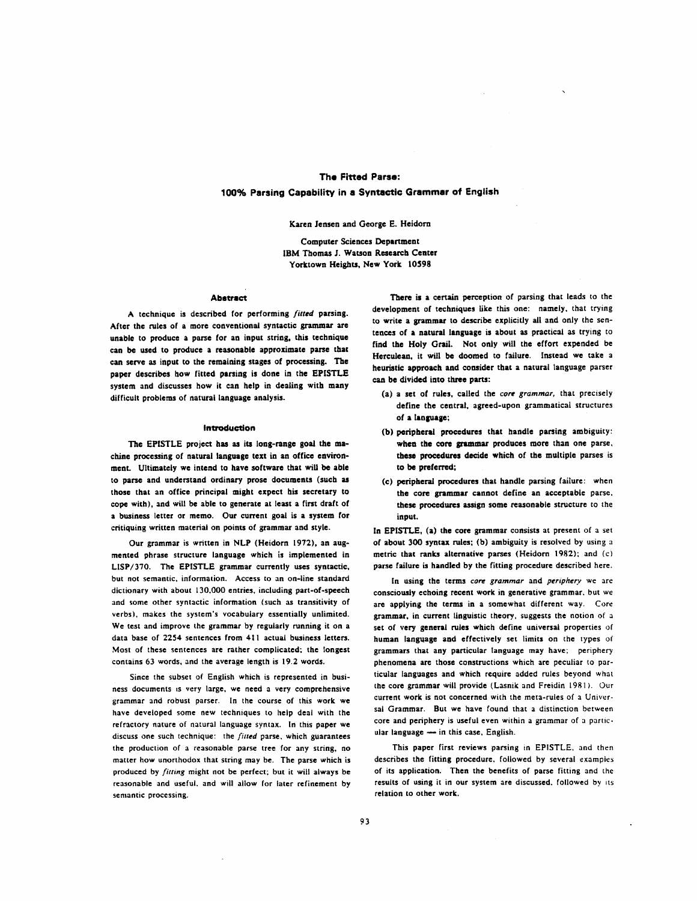# The Fitted Parse: 100% Parsing Capability in a Syntactic Grammar of English

## Karen Jensen and George E. Heidorn

Computer Sciences Department IBM Thomas J. Watson Research Center Yorktown Heights, Hew York 10598

### **Abstract**

A technique is described for performing *fitted* parsing. After the rules of a more conventional syntactic grammar are unable to produce a parse for an input string, this technique can be used to produce a reasonable approximate parse that can serve as input to the remaining stages of processing. The paper describes how fitted parsing is done in the EP[STLE system and discusses how it can help in dealing with many difficult problems of natural language analysis.

#### Introduction

The EPISTLE project has as its long-range goal the machine processing of natural language text in an office environment. Ultimately we intend to have software that will be able to parse and understand ordinary prose documents (such as those that an office principal might expect his secretary to cope with), and will be able to generate at least a first draft of a business letter or memo. Our current goal is a system for critiquing written material on points of grammar and style.

Our grammar is written in NLP (Heidorn 1972). an augmented phrase structure language which is implemented in LISP/370. The EPISTLE grammar currently uses syntactic, but not semantic, information. Access to an on-line standard dictionary with about 130.000 entries, including part-of-speech and some other syntactic information (such as transitivity of verbs), makes the system's vocabulary essentially unlimited. We test and improve the grammar by regularly running it on a data base of 2254 sentences from 411 actual business letters. Most of these sentences are rather complicated; the longest contains 63 words, and the average length is 19.2 words.

Since the subset of English which is represented in business documents is very large, we need a very comprehensive grammar and robust parser. In the course of this work we have developed some new techniques to help deal with the refractory nature of natural language syntax. In this paper we discuss one such technique: the *fitted* parse, which guarantees the production of a reasonable parse tree for any string, no matter how unorthodox that string may be. The parse which is produced by *fitting* might not be perfect; but it will always be reasonable and useful, and will allow for later refinement by semantic processing.

There is a certain perception of parsing that leads to the development of techniques like this one: namely, that trying to write a grammar to describe explicitly all and only the senfences of a natural language is about as practical as trying to find the Holy Grail. Hot only will the effort expended be Herculean, it will be doomed to failure. Instead we take a heuristic approach and consider that a natural language parser can be divided into three parts:

- (a) a set of rules, called the *core grammor,* that precisely define the central, agreed-upon grammatical structures of a language;
- (b) peripheral procedures that handle parsing ambiguity: when the core grammar produces more than one parse, these procedures decide which of the multiple parses is to be preferred;
- (c) peripheral procedures that handle parsing failure: when the core grammar cannot define an acceptable parse, these procedures assign some reasonable structure to the input.

In EPISTLE, (a) the core grammar consists at present of a set of about 300 syntax rules; (b) ambiguity is resolved by using a metric that ranks alternative parses (Heidorn 1982): and (c) parse failure is handled by the fitting procedure described here.

[n using the terms core *grammar* and *periphery* we are consciously echoing recent work in generative grammar, but we are applying the terms in a somewhat different way. Core grammar, in current linguistic theory, suggests the notion of a set of very general rules which define universal properties of human language and effectively set limits on the types of grammars that any particular language may have; periphery phenomena are those constructions which are peculiar to particular languages and which require added rules beyond what the core grammar will provide (Lasnik and Freidin 1981). Our current work is not concerned with the meta-ruies of a Universal Grammar. But we have found that a distinction between core and periphery is useful even within a grammar of a particular language ~ in this *case,* English.

This paper first reviews parsing in EPISTLE, and then describes the fitting procedure, followed by several examples of its application. Then the benefits of parse fitting and the results of using it in our system are discussed, followed by its relation to other work.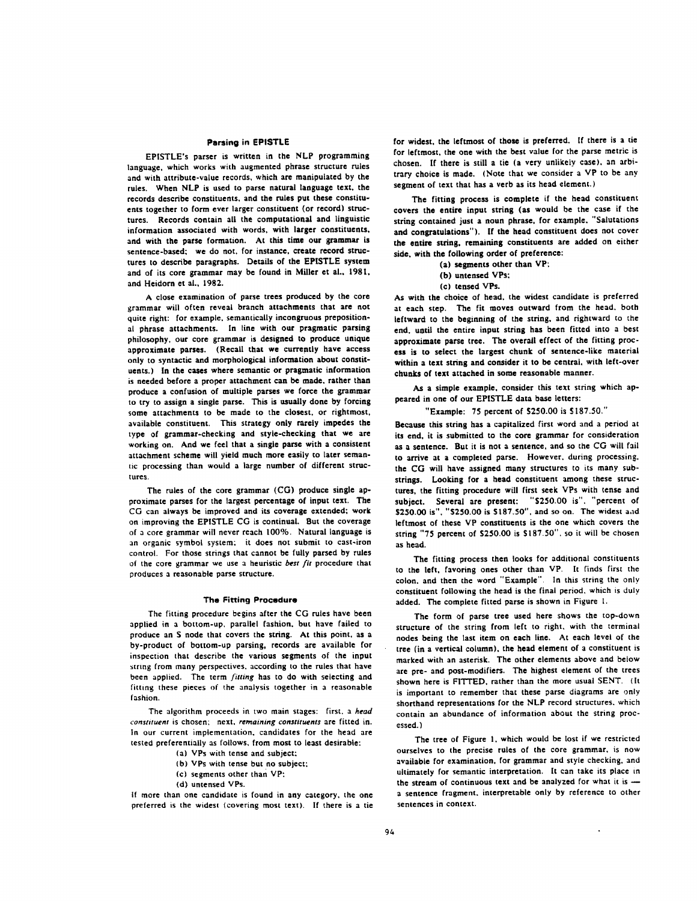### Parsing in **EPISTLE**

EPISTLE's parser is written in the NLP programming language, which works with augmented phrase structure rules and with attribute-value records, which are manipulated by the rules. When NLP is used to parse natural language text, the records describe constituents, and the rules put these constituents together to form ever larger constituent (or record) structures. Records contain all the computational and linguistic information associated with words, with larger constituents, and with the parse formation. At this time our grammar is sentence-based; we do not, for instance, create record structures to describe paragraphs. Details of the EPISTLE system and of its core grammar may be found in Miller et al., 1981, and Heidorn et al., 1982.

A close examination of parse trees produced by the core grammar will often reveal branch attachments that are not quite right: for example, semantically incongruous prepositional phrase attachments. In line with our pragmatic parsing philosophy, our core grammar is designed to produce unique approximate parses. (Recall that we currently have access only to syntactic and morphological information about constituents.) In the cases where semantic or pragmatic information is needed before a proper attachment can be made, rather than produce a confusion of multiple parses we force the grammar to try to assign a single parse. This is usually done by forcing some attachments to be made to the closest, or rightmost, available constituent. This strategy only rarely impedes the type of grammar-checking and style-checking that we are working on. And we feel that a single parse with a consistent attachment scheme will yield much more easily to later semantic processing than would a large number of different structures.

The rules of the core grammar (CG) produce single approximate parses for the largest percentage of input text. The CG can always be improved and its coverage extended; work on improving the EPISTLE CG is continual. But the coverage of a core grammar will never reach 100%. Natural language is an organic symbol system; it does not submit to cast-iron control. For those strings that cannot be fully parsed by rules of the core grammar we use a heuristic *best fit* procedure that produces a reasonable parse structure.

#### The Fitting **Procedure**

The fitting procedure begins after the CG rules have been applied in a bottom-up, parallel fashion, but have failed to produce an S node that covers the string. At this point, as a by-product of bottom-up parsing, records are available for inspection that describe the various segments of the input string from many perspectives, according to the rules that have been applied. The term *fitting* has to do with selecting and fitting these pieces of the analysis together in a reasonable fashion.

The algorithm proceeds in two main stages: first, a *head constituent* is chosen; next, *remaining constituents* are fitted in. In our current implementation, candidates for the head are tested preferentially as follows, from most to least desirable:

- (a) VPs with tense and subject;
- (b) VPs with tense but no subject:
- (c) segments other than VP:
- (d) untensed VPs.

If more than one candidate is found in any category, the one preferred is the widest (covering most text). If there is a tie

for widest, the leftmost of those is preferred. If there is a tie for leftmost, the one with the best value for the parse metric is chosen. If there is still a tie (a very unlikely case), an arbitrary choice is made. (Note that we consider a VP to be any segment of text that has a verb as its head element.)

The fitting process is complete if the head constituent covers the entire input string (as would be the case if the string contained just a noun phrase, for example, "Salutations and congratulations"). If the head constituent does not cover the entire string, remaining constituents are added on either side. with the following order of preference:

- (a) segments other than VP;
- (b) untensed VPs:
- (c) tensed VPs.

As with the choice of head. the widest candidate is preferred at each step. The fit moves outward from the head. both leftward to the beginning of the string, and rightward to the end. until the entire input string has been fitted into a best approximate parse tree. The overall effect of the fitting process is to select the largest chunk of sentence-like material within a text string and consider it to be central, with left-over chunks of text attached in some reasonable manner.

As a simple example, consider this text string which appeared in one of our EPfSTLE data base letters:

"Example: 75 percent of \$250.00 is \$187.50."

Because this string has a capitalized first word and a period at its end. it is submitted to the core grammar for consideration as a sentence. But it is not a sentence, and so the CG will fail to arrive at a completed parse. However. during processing. the CG will have assigned many structures to its many substrings. Looking for a head constituent among these structures, the fitting procedure will first seek VPs with tense and subject. Several are present: "\$250.00 is". "percent of \$250.00 is", "\$250.00 is \$187.50". and so on. The widest and leftmost of these VP constituents is the one which covers the string "75 percent of \$250.00 is \$187.50", so it will be chosen as head.

The fitting process then looks for additional constituents to the left, favoring ones other than VP. [t finds first the colon, and then the word "Example". In this string the only constituent following the head is the final period, which is duly added. The complete fitted parse is shown in Figure I.

The form of parse tree used here shows the top-down structure of the string from left to right, with the terminal nodes being the last item on each line. At each level of the tree (in a vertical column), the head element of a constituent is marked with an asterisk. The other elements above and below are pre- and post-modifiers. The highest element of the trees shown here is FITTED, rather than the more usual SENT. (It is important to remember that these parse diagrams are only shorthand representations for the NLP record structures, which contain an abundance of information about the string processed.)

The tree of Figure I. which would be lost if we restricted ourselves to the precise rules of the core grammar, is now available for examination, for grammar and style checking, and ultimately for semantic interpretation. It can take its place in the stream of continuous text and be analyzed for what it is -a sentence fragment, interpretable only by reference to other sentences in context.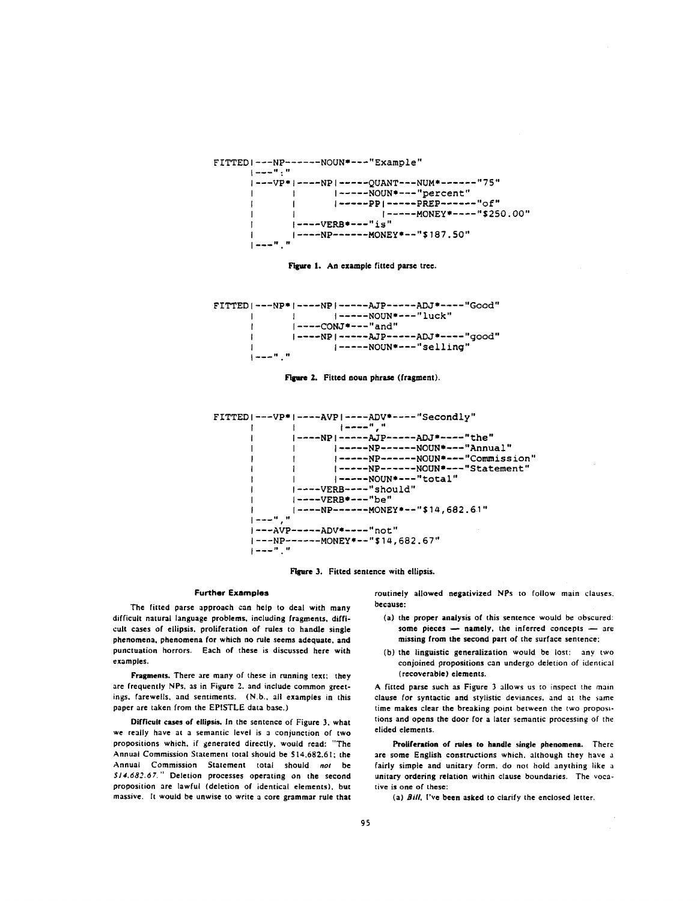

Figure 1. An example fitted parse tree.



Figure 2. Fitted noun phrase (fragment).





#### **Further Examples**

The fitted parse approach can help to deal with many difficult natural language problems, including fragments, difficult cases of ellipsis, proliferation of rules to handle single phenomena, phenomena for which no rule seems adequate, and punctuation horrors. Each of these is discussed here with examples.

Fragments. There are many of these in running text; they are frequently NPs, as in Figure 2, and include common greetings, farewells, and sentiments. (N.b., all examples in this paper are taken from the EPISTLE data base.)

Difficult cases of ellipsis. In the sentence of Figure 3, what we really have at a semantic level is a conjunction of two propositions which, if generated directly, would read: "The Annual Commission Statement total should be \$14,682.61; the Annual Commission Statement total should not be \$14.682.67." Deletion processes operating on the second proposition are lawful (deletion of identical elements), but massive. It would be unwise to write a core grammar rule that routinely allowed negativized NPs to follow main clauses. because:

- (a) the proper analysis of this sentence would be obscured: some pieces  $-$  namely, the inferred concepts  $-$  are missing from the second part of the surface sentence:
- (b) the linguistic generalization would be lost: any two conjoined propositions can undergo deletion of identical (recoverable) elements.

A fitted parse such as Figure 3 allows us to inspect the main clause for syntactic and stylistic deviances, and at the same time makes clear the breaking point between the two propositions and opens the door for a later semantic processing of the elided elements.

Proliferation of rules to handle single phenomena. There are some English constructions which, although they have a fairly simple and unitary form, do not hold anything like a unitary ordering relation within clause boundaries. The vocative is one of these:

(a) Bill, I've been asked to clarify the enclosed letter.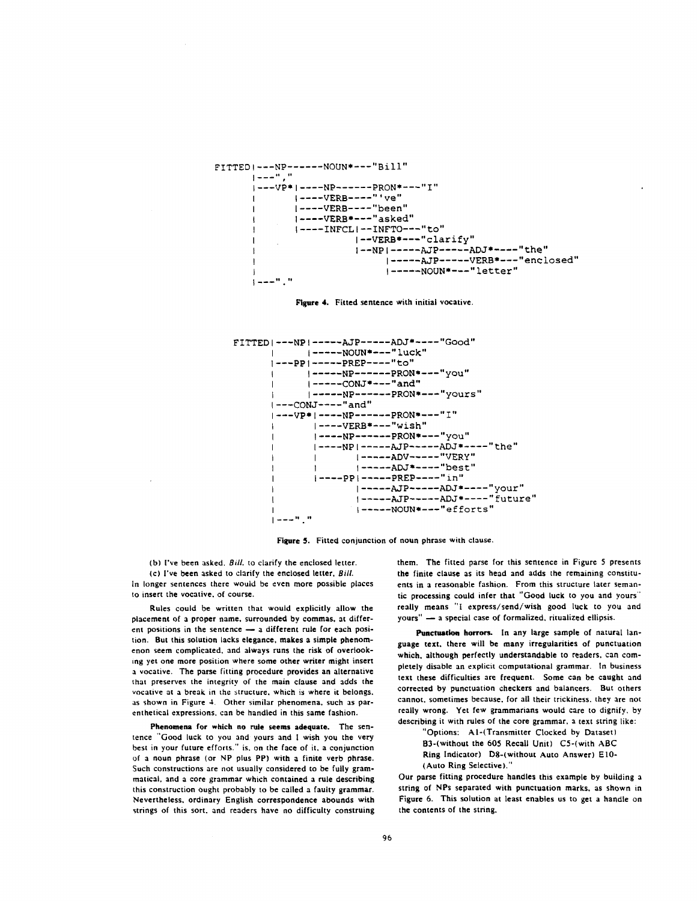```
FITTED | --- NP ------ NOUN *--- "Bill"
     1 - - -","
     1 - -\frac{1}{2} = 1 - -\frac{1}{2} = - \frac{1}{2} = - \frac{1}{2} = \frac{1}{2} = \frac{1}{2} = \frac{1}{2} = \frac{1}{2} = \frac{1}{2} = \frac{1}{2} = \frac{1}{2} = \frac{1}{2} = \frac{1}{2} = \frac{1}{2} = \frac{1}{2} = \frac{1}{2} = \frac{1}{2} = \frac1---VERB---"'ve"1 - - - \text{VERB} --- "been"| ---- VERB *--- "asked"
                    |----INFCL|--INFTO---"to"
                                        I--VERB*---"clarify"
                                        1 - NP1 - --- AJP---ADJ*---\mathbf{1}|-----AJP-----VERB*---"enclosed"
     \mathbf{I}i-----NOUN*---"letter"
     \overline{\phantom{a}}1 - -1
```




Figure 5. Fitted conjunction of noun phrase with clause.

(b) I've been asked.  $Bill$ , to clarify the enclosed letter.

(c) I've been asked to clarify the enclosed letter, Bill. In longer sentences there would be even more possible places to insert the vocative, of course.

Rules could be written that would explicitly allow the placement of a proper name, surrounded by commas, at different positions in the sentence - a different rule for each position. But this solution lacks elegance, makes a simple phenomenon seem complicated, and always runs the risk of overlooking yet one more position where some other writer might insert a vocative. The parse fitting procedure provides an alternative that preserves the integrity of the main clause and adds the vocative at a break in the structure, which is where it belongs. as shown in Figure 4. Other similar phenomena, such as parenthetical expressions, can be handled in this same fashion.

Phenomena for which no rule seems adequate. The sentence "Good luck to you and yours and I wish you the very best in your future efforts." is, on the face of it, a conjunction of a noun phrase (or NP plus PP) with a finite verb phrase. Such constructions are not usually considered to be fully grammatical, and a core grammar which contained a rule describing this construction ought probably to be called a faulty grammar. Nevertheless, ordinary English correspondence abounds with strings of this sort, and readers have no difficulty construing

them. The fitted parse for this sentence in Figure 5 presents the finite clause as its head and adds the remaining constituents in a reasonable fashion. From this structure later semantic processing could infer that "Good luck to you and yours" really means "I express/send/wish good luck to you and vours" - a special case of formalized, ritualized ellipsis.

Punctuation horrors. In any large sample of natural language text, there will be many irregularities of punctuation which, although perfectly understandable to readers, can completely disable an explicit computational grammar. In business text these difficulties are frequent. Some can be caught and corrected by punctuation checkers and balancers. But others cannot, sometimes because, for all their trickiness, they are not really wrong. Yet few grammarians would care to dignify, by describing it with rules of the core grammar, a text string like:

"Options: A1-(Transmitter Clocked by Dataset) B3-(without the 605 Recall Unit) C5-(with ABC Ring Indicator) D8-(without Auto Answer) E10-(Auto Ring Selective)."

Our parse fitting procedure handles this example by building a string of NPs separated with punctuation marks, as shown in Figure 6. This solution at least enables us to get a handle on the contents of the string.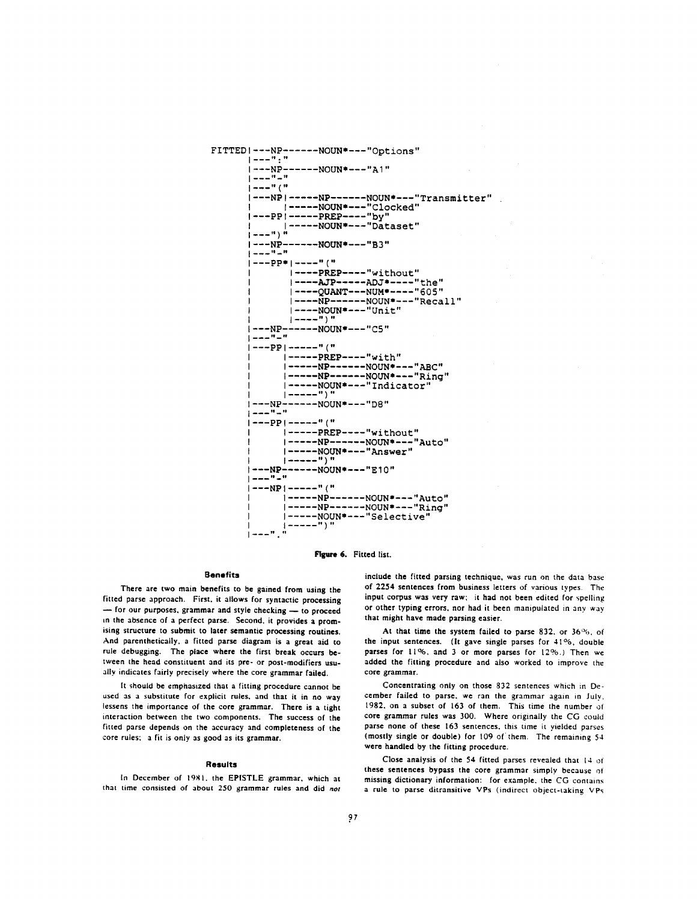```
FITTED | --- NP ------ NOUN *--- "Options"
1 - -1|---NP------NOUN*---"A1"
j ===""="
1 - - -" ("
|---NP|-----NP------NOUN*---"Transmitter"
       j-----NOUN *--- "Clocked"
 -PP| -----PREP----"by"
|---NP------NOUN*---"B3"
 - - -11 - 11
i-----PREP----"without"
        |-----AJP-----ADJ*----"the"<br>|----AJP-----ADJ*----"the"<br>|----QUANT---NUM*----"605"
         -----NP------NOUN*---"Recall"
        I----NOUN*---"Unit"
        1 - - -")"
| ---NP------NOUN*---"C5"
 ___W^_"
----------" ("
       i------ PREP---- "with"
       |-----NP------NOUN*---"ABC"
       |-----NP------NOUN*---"Ring"
       |-----NOUN*---"Indicator'
       1 - - - -<sup>11</sup>
|---NP------NOUN*---"D8"
; ___;;<u>*</u>_..
 ---PPI-----"("
       1---PREP---"with out"|-----NP------NOUN*---"Auto"
       I-----NOUN*---"Answer"
       1 - - - - -<sup>11</sup>)<sup>11</sup>
|---NP------NOUN*---"E10"
1 - -1.<br>. ---NP . -----" ("
       1-----NP------NOUN*---"Auto"
       1 - - -NP ------NOUN *---"Ring"
       |-----NOUN*---"Selective"
       1 - - - - - ")<br>"
 - - ^{\prime\prime}.
```
Figure 6. Fitted list.

## **Benefits**

There are two main benefits to be gained from using the fitted parse approach. First, it allows for syntactic processing - for our purposes, grammar and style checking - to proceed in the absence of a perfect parse. Second, it provides a promising structure to submit to later semantic processing routines. And parenthetically, a fitted parse diagram is a great aid to rule debugging. The place where the first break occurs between the head constituent and its pre- or post-modifiers usually indicates fairly precisely where the core grammar failed.

It should be emphasized that a fitting procedure cannot be used as a substitute for explicit rules, and that it in no way lessens the importance of the core grammar. There is a tight interaction between the two components. The success of the fitted parse depends on the accuracy and completeness of the core rules; a fit is only as good as its grammar.

#### Results

In December of 1981, the EPISTLE grammar, which at that time consisted of about 250 grammar rules and did not

include the fitted parsing technique, was run on the data base of 2254 sentences from business letters of various types. The input corpus was very raw; it had not been edited for spelling or other typing errors, nor had it been manipulated in any way that might have made parsing easier.

At that time the system failed to parse 832, or  $36\%$ , of the input sentences. (It gave single parses for 41%, double parses for 11%, and 3 or more parses for 12%.) Then we added the fitting procedure and also worked to improve the core grammar.

Concentrating only on those 832 sentences which in December failed to parse, we ran the grammar again in July, 1982, on a subset of 163 of them. This time the number of core grammar rules was 300. Where originally the CG could parse none of these 163 sentences, this time it yielded parses (mostly single or double) for 109 of them. The remaining 54 were handled by the fitting procedure.

Close analysis of the 54 fitted parses revealed that 14 of these sentences bypass the core grammar simply because of missing dictionary information: for example, the CG contains a rule to parse ditransitive VPs (indirect object-taking VPs